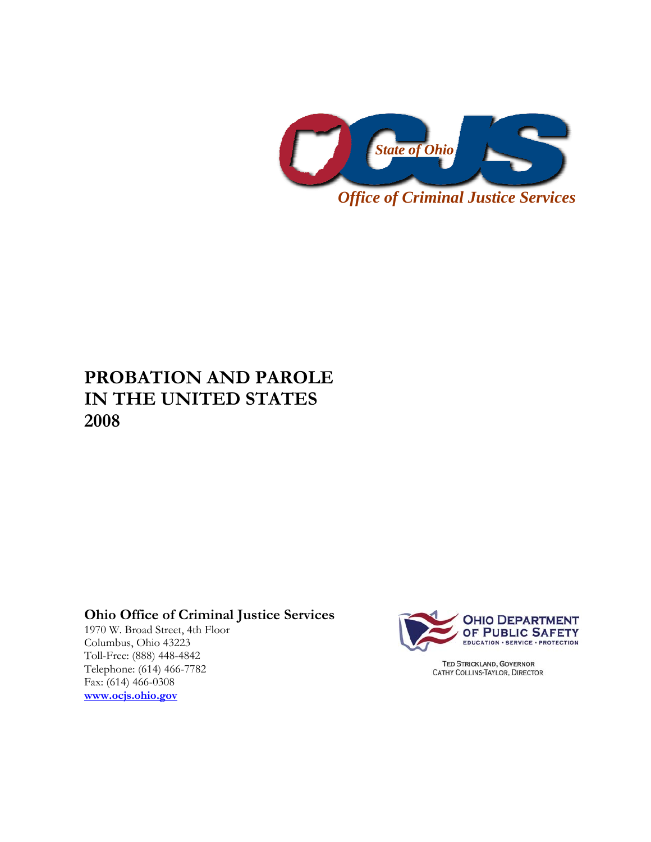

# **PROBATION AND PAROLE IN THE UNITED STATES 2008**

# **Ohio Office of Criminal Justice Services**

1970 W. Broad Street, 4th Floor Columbus, Ohio 43223 Toll-Free: (888) 448-4842 Telephone: (614) 466-7782 Fax: (614) 466-0308 **www.ocjs.ohio.gov**



**TED STRICKLAND, GOVERNOR** CATHY COLLINS-TAYLOR, DIRECTOR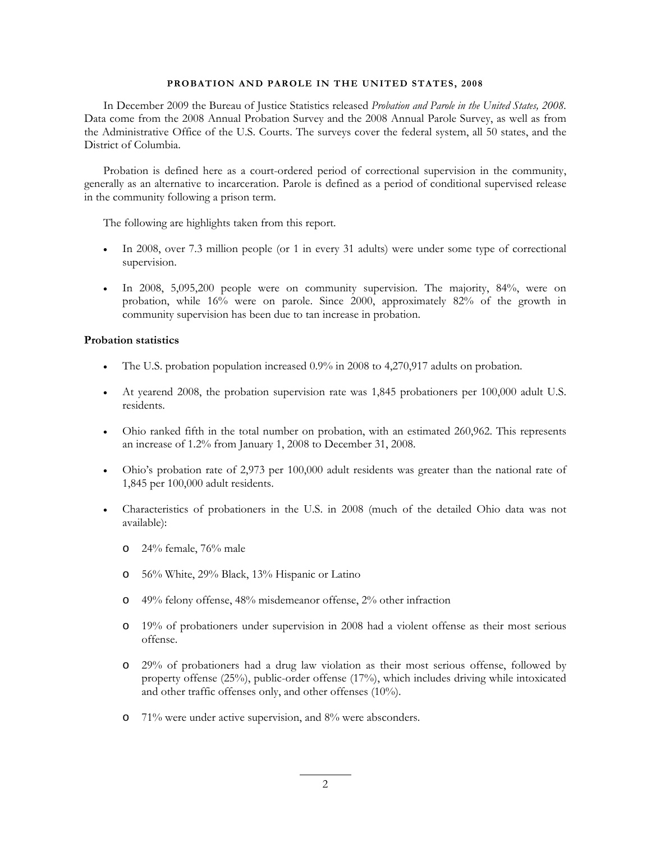#### **PROBATION AND PAROLE IN THE UNITED STATES, 2008**

In December 2009 the Bureau of Justice Statistics released *Probation and Parole in the United States, 2008.* Data come from the 2008 Annual Probation Survey and the 2008 Annual Parole Survey, as well as from the Administrative Office of the U.S. Courts. The surveys cover the federal system, all 50 states, and the District of Columbia.

Probation is defined here as a court-ordered period of correctional supervision in the community, generally as an alternative to incarceration. Parole is defined as a period of conditional supervised release in the community following a prison term.

The following are highlights taken from this report.

- In 2008, over 7.3 million people (or 1 in every 31 adults) were under some type of correctional supervision.
- In 2008, 5,095,200 people were on community supervision. The majority, 84%, were on probation, while 16% were on parole. Since 2000, approximately 82% of the growth in community supervision has been due to tan increase in probation.

### **Probation statistics**

- The U.S. probation population increased 0.9% in 2008 to 4,270,917 adults on probation.
- At yearend 2008, the probation supervision rate was 1,845 probationers per 100,000 adult U.S. residents.
- Ohio ranked fifth in the total number on probation, with an estimated 260,962. This represents an increase of 1.2% from January 1, 2008 to December 31, 2008.
- Ohio's probation rate of 2,973 per 100,000 adult residents was greater than the national rate of 1,845 per 100,000 adult residents.
- Characteristics of probationers in the U.S. in 2008 (much of the detailed Ohio data was not available):
	- o 24% female, 76% male
	- o 56% White, 29% Black, 13% Hispanic or Latino
	- o 49% felony offense, 48% misdemeanor offense, 2% other infraction
	- o 19% of probationers under supervision in 2008 had a violent offense as their most serious offense.
	- o 29% of probationers had a drug law violation as their most serious offense, followed by property offense (25%), public-order offense (17%), which includes driving while intoxicated and other traffic offenses only, and other offenses (10%).
	- o 71% were under active supervision, and 8% were absconders.